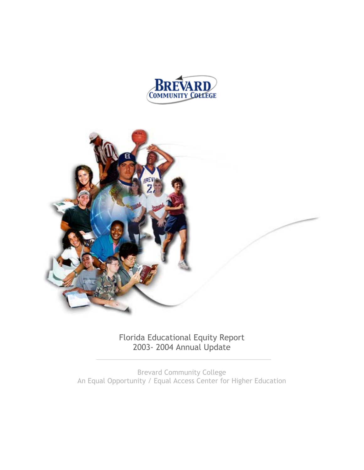



Florida Educational Equity Report 2003- 2004 Annual Update

Brevard Community College An Equal Opportunity / Equal Access Center for Higher Education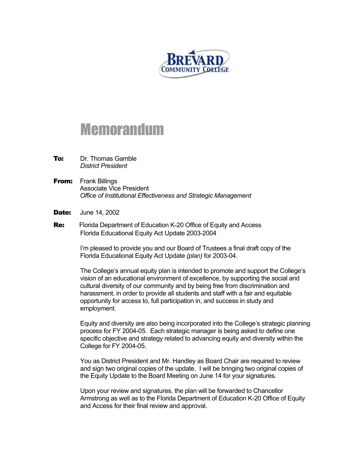

# Memorandum

- **To:** Dr. Thomas Gamble *District President*
- **From:** Frank Billings Associate Vice President *Office of Institutional Effectiveness and Strategic Management*
- **Date:** June 14, 2002
- **Re:** Florida Department of Education K-20 Office of Equity and Access Florida Educational Equity Act Update 2003-2004

I'm pleased to provide you and our Board of Trustees a final draft copy of the Florida Educational Equity Act Update *(plan)* for 2003-04.

The College's annual equity plan is intended to promote and support the College's vision of an educational environment of excellence, by supporting the social and cultural diversity of our community and by being free from discrimination and harassment, in order to provide all students and staff with a fair and equitable opportunity for access to, full participation in, and success in study and employment.

Equity and diversity are also being incorporated into the College's strategic planning process for FY 2004-05. Each strategic manager is being asked to define one specific objective and strategy related to advancing equity and diversity within the College for FY 2004-05.

You as District President and Mr. Handley as Board Chair are required to review and sign two original copies of the update. I will be bringing two original copies of the Equity Update to the Board Meeting on June 14 for your signatures.

Upon your review and signatures, the plan will be forwarded to Chancellor Armstrong as well as to the Florida Department of Education K-20 Office of Equity and Access for their final review and approval.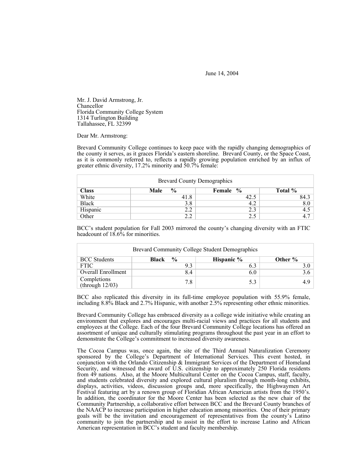June 14, 2004

Mr. J. David Armstrong, Jr. Chancellor Florida Community College System 1314 Turlington Building Tallahassee, FL 32399

Dear Mr. Armstrong:

Brevard Community College continues to keep pace with the rapidly changing demographics of the county it serves, as it graces Florida's eastern shoreline. Brevard County, or the Space Coast, as it is commonly referred to, reflects a rapidly growing population enriched by an influx of greater ethnic diversity, 17.2% minority and 50.7% female:

| <b>Brevard County Demographics</b> |                       |          |         |  |  |  |  |  |
|------------------------------------|-----------------------|----------|---------|--|--|--|--|--|
| <b>Class</b>                       | $\frac{6}{9}$<br>Male | Female % | Total % |  |  |  |  |  |
| White                              | 41.8                  | 42.5     | 84.3    |  |  |  |  |  |
| <b>Black</b>                       | 3.8                   | 4.2      | 8.0     |  |  |  |  |  |
| Hispanic                           | 2.2                   | 2.3      | 4.5     |  |  |  |  |  |
| Other                              | າ າ                   | 2.5      |         |  |  |  |  |  |

BCC's student population for Fall 2003 mirrored the county's changing diversity with an FTIC headcount of  $18.6\%$  for minorities.

| <b>Brevard Community College Student Demographics</b> |                        |            |         |  |  |  |  |  |
|-------------------------------------------------------|------------------------|------------|---------|--|--|--|--|--|
| <b>BCC</b> Students                                   | $\frac{0}{0}$<br>Black | Hispanic % | Other % |  |  |  |  |  |
| <b>FTIC</b>                                           |                        | 6.3        |         |  |  |  |  |  |
| <b>Overall Enrollment</b>                             | 84                     | 6.0        |         |  |  |  |  |  |
| Completions<br>(through $12/03$ )                     | 7.8                    | 5.3        |         |  |  |  |  |  |

BCC also replicated this diversity in its full-time employee population with 55.9% female, including 8.8% Black and 2.7% Hispanic, with another 2.5% representing other ethnic minorities.

Brevard Community College has embraced diversity as a college wide initiative while creating an environment that explores and encourages multi-racial views and practices for all students and employees at the College. Each of the four Brevard Community College locations has offered an assortment of unique and culturally stimulating programs throughout the past year in an effort to demonstrate the College's commitment to increased diversity awareness.

The Cocoa Campus was, once again, the site of the Third Annual Naturalization Ceremony sponsored by the College's Department of International Services. This event hosted, in conjunction with the Orlando Citizenship & Immigrant Services of the Department of Homeland Security, and witnessed the award of U.S. citizenship to approximately 250 Florida residents from 49 nations. Also, at the Moore Multicultural Center on the Cocoa Campus, staff, faculty, and students celebrated diversity and explored cultural pluralism through month-long exhibits, displays, activities, videos, discussion groups and, more specifically, the Highwaymen Art Festival featuring art by a renown group of Floridian African American artists from the 1950's. In addition, the coordinator for the Moore Center has been selected as the new chair of the Community Partnership, a collaborative effort between BCC and the Brevard County branches of the NAACP to increase participation in higher education among minorities. One of their primary goals will be the invitation and encouragement of representatives from the county's Latino community to join the partnership and to assist in the effort to increase Latino and African American representation in BCC's student and faculty membership.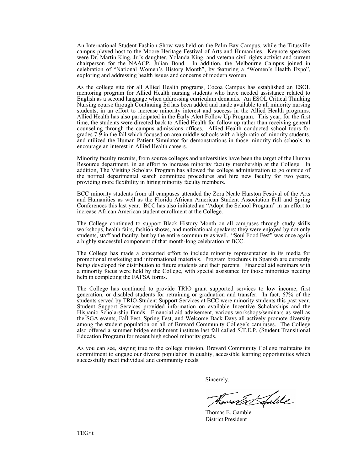An International Student Fashion Show was held on the Palm Bay Campus, while the Titusville campus played host to the Moore Heritage Festival of Arts and Humanities. Keynote speakers were Dr. Martin King, Jr.'s daughter, Yolanda King, and veteran civil rights activist and current chairperson for the NAACP, Julian Bond. In addition, the Melbourne Campus joined in celebration of "National Women's History Month", by featuring a "Women's Health Expo", exploring and addressing health issues and concerns of modern women.

As the college site for all Allied Health programs, Cocoa Campus has established an ESOL mentoring program for Allied Health nursing students who have needed assistance related to English as a second language when addressing curriculum demands. An ESOL Critical Thinking Nursing course through Continuing Ed has been added and made available to all minority nursing students, in an effort to increase minority interest and success in the Allied Health programs. Allied Health has also participated in the Early Alert Follow Up Program. This year, for the first time, the students were directed back to Allied Health for follow up rather than receiving general counseling through the campus admissions offices. Allied Health conducted school tours for grades 7-9 in the fall which focused on area middle schools with a high ratio of minority students, and utilized the Human Patient Simulator for demonstrations in those minority-rich schools, to encourage an interest in Allied Health careers.

Minority faculty recruits, from source colleges and universities have been the target of the Human Resource department, in an effort to increase minority faculty membership at the College. In addition, The Visiting Scholars Program has allowed the college administration to go outside of the normal departmental search committee procedures and hire new faculty for two years, providing more flexibility in hiring minority faculty members.

BCC minority students from all campuses attended the Zora Neale Hurston Festival of the Arts and Humanities as well as the Florida African American Student Association Fall and Spring Conferences this last year. BCC has also initiated an "Adopt the School Program" in an effort to increase African American student enrollment at the College.

The College continued to support Black History Month on all campuses through study skills workshops, health fairs, fashion shows, and motivational speakers; they were enjoyed by not only students, staff and faculty, but by the entire community as well. "Soul Food Fest" was once again a highly successful component of that month-long celebration at BCC.

The College has made a concerted effort to include minority representation in its media for promotional marketing and informational materials. Program brochures in Spanish are currently being developed for distribution to future students and their parents. Financial aid seminars with a minority focus were held by the College, with special assistance for those minorities needing help in completing the FAFSA forms.

The College has continued to provide TRIO grant supported services to low income, first generation, or disabled students for retraining or graduation and transfer. In fact, 67% of the students served by TRIO-Student Support Services at BCC were minority students this past year. Student Support Services provided information on available Incentive Scholarships and the Hispanic Scholarship Funds. Financial aid advisement, various workshops/seminars as well as the SGA events, Fall Fest, Spring Fest, and Welcome Back Days all actively promote diversity among the student population on all of Brevard Community College's campuses. The College also offered a summer bridge enrichment institute last fall called S.T.E.P. (Student Transitional Education Program) for recent high school minority grads.

As you can see, staying true to the college mission, Brevard Community College maintains its commitment to engage our diverse population in quality, accessible learning opportunities which successfully meet individual and community needs.

Sincerely,

mortal afulile

 Thomas E. Gamble District President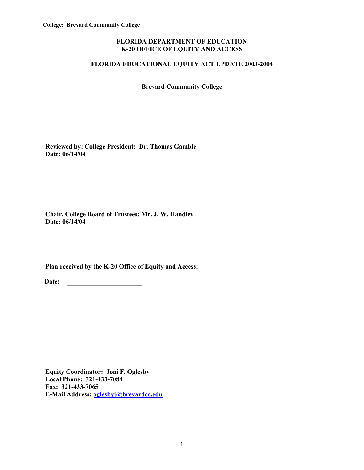# **FLORIDA DEPARTMENT OF EDUCATION K-20 OFFICE OF EQUITY AND ACCESS**

# **FLORIDA EDUCATIONAL EQUITY ACT UPDATE 2003-2004**

**Brevard Community College** 

**Reviewed by: College President: Dr. Thomas Gamble Date: 06/14/04** 

**Chair, College Board of Trustees: Mr. J. W. Handley Date: 06/14/04** 

**Plan received by the K-20 Office of Equity and Access:** 

Date:

**Equity Coordinator: Joni F. Oglesby Local Phone: 321-433-7084 Fax: 321-433-7065 E-Mail Address: oglesbyj@brevardcc.edu**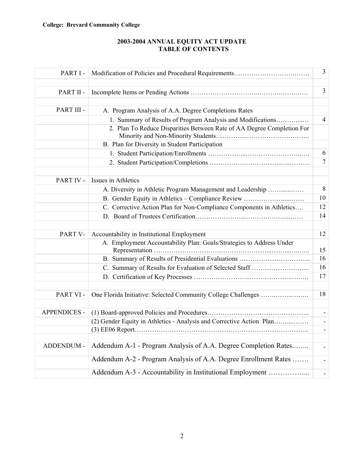# **College: Brevard Community College**

# **2003-2004 ANNUAL EQUITY ACT UPDATE TABLE OF CONTENTS**

| PART I-             |                                                                        | $\overline{3}$ |
|---------------------|------------------------------------------------------------------------|----------------|
|                     |                                                                        | 3              |
| PART II -           |                                                                        |                |
| PART III -          | A. Program Analysis of A.A. Degree Completions Rates                   |                |
|                     | 1. Summary of Results of Program Analysis and Modifications            | $\overline{4}$ |
|                     | 2. Plan To Reduce Disparities Between Rate of AA Degree Completion For |                |
|                     | B. Plan for Diversity in Student Participation                         |                |
|                     |                                                                        | 6              |
|                     |                                                                        | 7              |
|                     |                                                                        |                |
| PART IV -           | Issues in Athletics                                                    |                |
|                     | A. Diversity in Athletic Program Management and Leadership             | 8              |
|                     | B. Gender Equity in Athletics - Compliance Review                      | 10             |
|                     | C. Corrective Action Plan for Non-Compliance Components in Athletics   | 12             |
|                     |                                                                        | 14             |
|                     |                                                                        |                |
| PART V-             | Accountability in Institutional Employment                             | 12             |
|                     | A. Employment Accountability Plan: Goals/Strategies to Address Under   | 15             |
|                     |                                                                        | 16             |
|                     | C. Summary of Results for Evaluation of Selected Staff                 | 16             |
|                     |                                                                        | 17             |
|                     |                                                                        |                |
| PART VI-            | One Florida Initiative: Selected Community College Challenges          | 18             |
|                     |                                                                        |                |
| <b>APPENDICES -</b> |                                                                        |                |
|                     | (2) Gender Equity in Athletics - Analysis and Corrective Action Plan   |                |
|                     |                                                                        |                |
|                     |                                                                        |                |
| ADDENDUM -          | Addendum A-1 - Program Analysis of A.A. Degree Completion Rates        |                |
|                     | Addendum A-2 - Program Analysis of A.A. Degree Enrollment Rates        | $\blacksquare$ |
|                     | Addendum A-3 - Accountability in Institutional Employment              | $\blacksquare$ |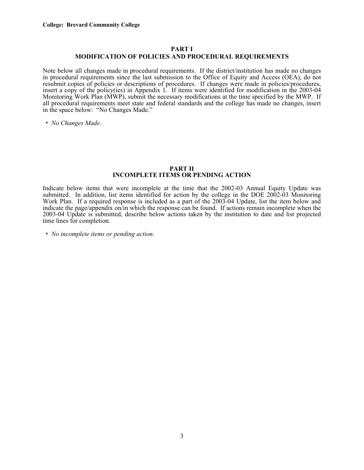# **PART I**

# **MODIFICATION OF POLICIES AND PROCEDURAL REQUIREMENTS**

Note below all changes made in procedural requirements. If the district/institution has made no changes in procedural requirements since the last submission to the Office of Equity and Access (OEA), do not resubmit copies of policies or descriptions of procedures. If changes were made in policies/procedures, insert a copy of the policy(ies) in Appendix 1. If items were identified for modification in the 2003-04 Monitoring Work Plan (MWP), submit the necessary modifications at the time specified by the MWP. If all procedural requirements meet state and federal standards and the college has made no changes, insert in the space below: "No Changes Made."

• *No Changes Made*.

#### **PART II INCOMPLETE ITEMS OR PENDING ACTION**

Indicate below items that were incomplete at the time that the 2002-03 Annual Equity Update was submitted. In addition, list items identified for action by the college in the DOE 2002-03 Monitoring Work Plan. If a required response is included as a part of the 2003-04 Update, list the item below and indicate the page/appendix on/in which the response can be found. If actions remain incomplete when the 2003-04 Update is submitted, describe below actions taken by the institution to date and list projected time lines for completion.

• *No incomplete items or pending action.*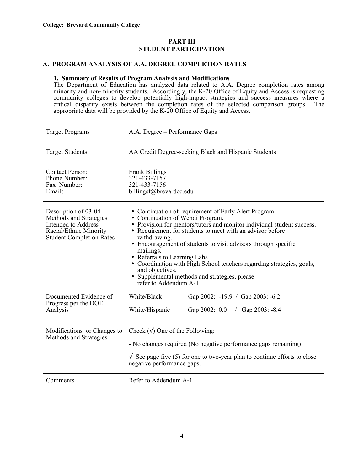# **PART III STUDENT PARTICIPATION**

# **A. PROGRAM ANALYSIS OF A.A. DEGREE COMPLETION RATES**

#### **1. Summary of Results of Program Analysis and Modifications**

The Department of Education has analyzed data related to A.A. Degree completion rates among minority and non-minority students. Accordingly, the K-20 Office of Equity and Access is requesting community colleges to develop potentially high-impact strategies and success measures where a critical disparity exists between the completion rates of the selected comparison groups. The appropriate data will be provided by the K-20 Office of Equity and Access.

| <b>Target Programs</b>                                                                                                             | A.A. Degree - Performance Gaps                                                                                                                                                                                                                                                                                                                                                                                                                                                                                                         |  |  |  |  |  |  |
|------------------------------------------------------------------------------------------------------------------------------------|----------------------------------------------------------------------------------------------------------------------------------------------------------------------------------------------------------------------------------------------------------------------------------------------------------------------------------------------------------------------------------------------------------------------------------------------------------------------------------------------------------------------------------------|--|--|--|--|--|--|
| <b>Target Students</b>                                                                                                             | AA Credit Degree-seeking Black and Hispanic Students                                                                                                                                                                                                                                                                                                                                                                                                                                                                                   |  |  |  |  |  |  |
| <b>Contact Person:</b><br>Phone Number:<br>Fax Number:<br>Email:                                                                   | Frank Billings<br>321-433-7157<br>321-433-7156<br>billingsf@brevardcc.edu                                                                                                                                                                                                                                                                                                                                                                                                                                                              |  |  |  |  |  |  |
| Description of 03-04<br>Methods and Strategies<br>Intended to Address<br>Racial/Ethnic Minority<br><b>Student Completion Rates</b> | • Continuation of requirement of Early Alert Program.<br>• Continuation of Wendi Program.<br>• Provision for mentors/tutors and monitor individual student success.<br>• Requirement for students to meet with an advisor before<br>withdrawing.<br>• Encouragement of students to visit advisors through specific<br>mailings.<br>• Referrals to Learning Labs<br>• Coordination with High School teachers regarding strategies, goals,<br>and objectives.<br>• Supplemental methods and strategies, please<br>refer to Addendum A-1. |  |  |  |  |  |  |
| Documented Evidence of<br>Progress per the DOE<br>Analysis                                                                         | White/Black<br>Gap 2002: -19.9 / Gap 2003: -6.2<br>White/Hispanic<br>Gap 2002: $0.0$ / Gap 2003: -8.4                                                                                                                                                                                                                                                                                                                                                                                                                                  |  |  |  |  |  |  |
| Modifications or Changes to<br>Methods and Strategies                                                                              | Check $(\sqrt{})$ One of the Following:<br>- No changes required (No negative performance gaps remaining)<br>$\sqrt{ }$ See page five (5) for one to two-year plan to continue efforts to close<br>negative performance gaps.                                                                                                                                                                                                                                                                                                          |  |  |  |  |  |  |
| Comments                                                                                                                           | Refer to Addendum A-1                                                                                                                                                                                                                                                                                                                                                                                                                                                                                                                  |  |  |  |  |  |  |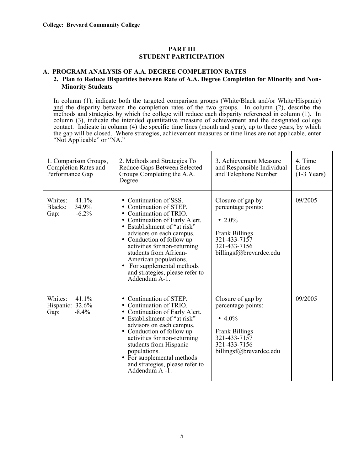$\mathbf{r}$ 

# **PART III STUDENT PARTICIPATION**

# **A. PROGRAM ANALYSIS OF A.A. DEGREE COMPLETION RATES**

# **2. Plan to Reduce Disparities between Rate of A.A. Degree Completion for Minority and Non-Minority Students**

In column (1), indicate both the targeted comparison groups (White/Black and/or White/Hispanic) and the disparity between the completion rates of the two groups. In column (2), describe the methods and strategies by which the college will reduce each disparity referenced in column (1). In column (3), indicate the intended quantitative measure of achievement and the designated college contact. Indicate in column (4) the specific time lines (month and year), up to three years, by which the gap will be closed. Where strategies, achievement measures or time lines are not applicable, enter "Not Applicable" or "NA."

| 1. Comparison Groups,<br>Completion Rates and<br>Performance Gap | 2. Methods and Strategies To<br>Reduce Gaps Between Selected<br>Groups Completing the A.A.<br>Degree                                                                                                                                                                                                                                                                     | 3. Achievement Measure<br>and Responsible Individual<br>and Telephone Number                                                             | 4. Time<br>Lines<br>$(1-3$ Years) |
|------------------------------------------------------------------|--------------------------------------------------------------------------------------------------------------------------------------------------------------------------------------------------------------------------------------------------------------------------------------------------------------------------------------------------------------------------|------------------------------------------------------------------------------------------------------------------------------------------|-----------------------------------|
| 41.1%<br>Whites:<br>34.9%<br>Blacks:<br>$-6.2%$<br>Gap:          | • Continuation of SSS.<br>• Continuation of STEP.<br>• Continuation of TRIO.<br>Continuation of Early Alert.<br>• Establishment of "at risk"<br>advisors on each campus.<br>• Conduction of follow up<br>activities for non-returning<br>students from African-<br>American populations.<br>For supplemental methods<br>and strategies, please refer to<br>Addendum A-1. | Closure of gap by<br>percentage points:<br>• 2.0%<br><b>Frank Billings</b><br>321-433-7157<br>321-433-7156<br>billingsf@brevardcc.edu    | 09/2005                           |
| Whites:<br>41.1%<br>Hispanic: 32.6%<br>$-8.4%$<br>Gap:           | • Continuation of STEP.<br>• Continuation of TRIO.<br>• Continuation of Early Alert.<br>• Establishment of "at risk"<br>advisors on each campus.<br>• Conduction of follow up<br>activities for non-returning<br>students from Hispanic<br>populations.<br>For supplemental methods<br>and strategies, please refer to<br>Addendum A -1                                  | Closure of gap by<br>percentage points:<br>• $4.0\%$<br><b>Frank Billings</b><br>321-433-7157<br>321-433-7156<br>billingsf@brevardcc.edu | 09/2005                           |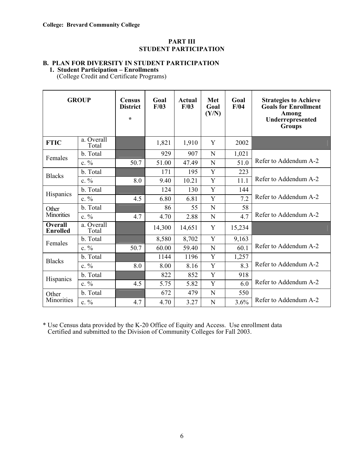# **PART III STUDENT PARTICIPATION**

# **B. PLAN FOR DIVERSITY IN STUDENT PARTICIPATION**

 **1. Student Participation – Enrollments** 

(College Credit and Certificate Programs)

| <b>GROUP</b>                      |                     | <b>Census</b><br><b>District</b><br>$\star$ | Goal<br>F/03 | <b>Actual</b><br>F/03 | Met<br>Goal<br>(Y/N) | Goal<br>F/04 | <b>Strategies to Achieve</b><br><b>Goals for Enrollment</b><br><b>Among</b><br>Underrepresented<br><b>Groups</b> |
|-----------------------------------|---------------------|---------------------------------------------|--------------|-----------------------|----------------------|--------------|------------------------------------------------------------------------------------------------------------------|
| <b>FTIC</b>                       | a. Overall<br>Total |                                             | 1,821        | 1,910                 | Y                    | 2002         |                                                                                                                  |
| Females                           | b. Total            |                                             | 929          | 907                   | N                    | 1,021        |                                                                                                                  |
|                                   | $c. \%$             | 50.7                                        | 51.00        | 47.49                 | N                    | 51.0         | Refer to Addendum A-2                                                                                            |
| <b>Blacks</b>                     | b. Total            |                                             | 171          | 195                   | Y                    | 223          |                                                                                                                  |
|                                   | $c. \%$             | 8.0                                         | 9.40         | 10.21                 | Y                    | 11.1         | Refer to Addendum A-2                                                                                            |
| Hispanics                         | b. Total            |                                             | 124          | 130                   | Y                    | 144          |                                                                                                                  |
|                                   | $c. \%$             | 4.5                                         | 6.80         | 6.81                  | Y                    | 7.2          | Refer to Addendum A-2                                                                                            |
| Other                             | b. Total            |                                             | 86           | 55                    | N                    | 58           |                                                                                                                  |
| <b>Minorities</b>                 | $c. \%$             | 4.7                                         | 4.70         | 2.88                  | N                    | 4.7          | Refer to Addendum A-2                                                                                            |
| <b>Overall</b><br><b>Enrolled</b> | a. Overall<br>Total |                                             | 14,300       | 14,651                | Y                    | 15,234       |                                                                                                                  |
| Females                           | b. Total            |                                             | 8,580        | 8,702                 | Y                    | 9,163        |                                                                                                                  |
|                                   | $c. \%$             | 50.7                                        | 60.00        | 59.40                 | N                    | 60.1         | Refer to Addendum A-2                                                                                            |
| <b>Blacks</b>                     | b. Total            |                                             | 1144         | 1196                  | Y                    | 1,257        |                                                                                                                  |
|                                   | $c. \%$             | 8.0                                         | 8.00         | 8.16                  | Y                    | 8.3          | Refer to Addendum A-2                                                                                            |
| Hispanics                         | b. Total            |                                             | 822          | 852                   | Y                    | 918          |                                                                                                                  |
|                                   | $c. \%$             | 4.5                                         | 5.75         | 5.82                  | Y                    | 6.0          | Refer to Addendum A-2                                                                                            |
| Other                             | b. Total            |                                             | 672          | 479                   | N                    | 550          |                                                                                                                  |
| Minorities                        | $c. \%$             | 4.7                                         | 4.70         | 3.27                  | N                    | 3.6%         | Refer to Addendum A-2                                                                                            |

\* Use Census data provided by the K-20 Office of Equity and Access. Use enrollment data Certified and submitted to the Division of Community Colleges for Fall 2003.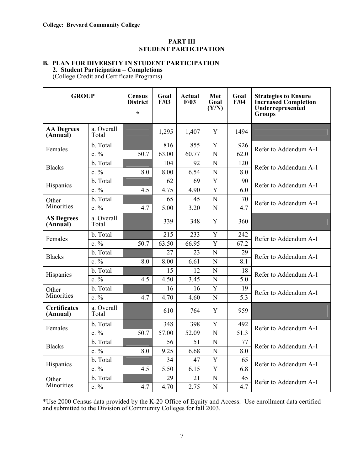# **PART III STUDENT PARTICIPATION**

### **B. PLAN FOR DIVERSITY IN STUDENT PARTICIPATION 2. Student Participation – Completions**

(College Credit and Certificate Programs)

| <b>GROUP</b>                    |                     | <b>Census</b><br><b>District</b><br>$\star$ | Goal<br>F/03 | Actual<br>F/03 | Met<br>Goal<br>(Y/N) | Goal<br>F/04      | <b>Strategies to Ensure</b><br><b>Increased Completion</b><br>Underrepresented<br><b>Groups</b> |
|---------------------------------|---------------------|---------------------------------------------|--------------|----------------|----------------------|-------------------|-------------------------------------------------------------------------------------------------|
| <b>AA Degrees</b><br>(Annual)   | a. Overall<br>Total |                                             | 1,295        | 1,407          | Y                    | 1494              |                                                                                                 |
| Females                         | b. Total            |                                             | 816          | 855            | Y                    | 926               | Refer to Addendum A-1                                                                           |
|                                 | $c. \%$             | 50.7                                        | 63.00        | 60.77          | N                    | 62.0              |                                                                                                 |
| <b>Blacks</b>                   | b. Total            |                                             | 104          | 92             | N                    | 120               | Refer to Addendum A-1                                                                           |
|                                 | $c. \%$             | 8.0                                         | 8.00         | 6.54           | $\overline{N}$       | 8.0               |                                                                                                 |
| Hispanics                       | b. Total            |                                             | 62           | 69             | Y                    | 90                | Refer to Addendum A-1                                                                           |
|                                 | c. $\frac{0}{0}$    | 4.5                                         | 4.75         | 4.90           | Y                    | 6.0               |                                                                                                 |
| Other                           | b. Total            |                                             | 65           | 45             | $\overline{N}$       | 70                | Refer to Addendum A-1                                                                           |
| Minorities                      | $c. \frac{0}{0}$    | 4.7                                         | 5.00         | 3.20           | N                    | 4.7               |                                                                                                 |
| <b>AS Degrees</b><br>(Annual)   | a. Overall<br>Total |                                             | 339          | 348            | Y                    | 360               |                                                                                                 |
|                                 | b. Total            |                                             | 215          | 233            | Y                    | 242               | Refer to Addendum A-1                                                                           |
| Females                         | $c. \%$             | 50.7                                        | 63.50        | 66.95          | Y                    | 67.2              |                                                                                                 |
| <b>Blacks</b>                   | b. Total            |                                             | 27           | 23             | $\mathbf N$          | 29                | Refer to Addendum A-1                                                                           |
|                                 | $c. \%$             | 8.0                                         | 8.00         | 6.61           | $\overline{N}$       | 8.1               |                                                                                                 |
| Hispanics                       | b. Total            |                                             | 15           | 12             | N                    | 18                | Refer to Addendum A-1                                                                           |
|                                 | c. $\frac{0}{0}$    | 4.5                                         | 4.50         | 3.45           | N                    | 5.0               |                                                                                                 |
| Other                           | b. Total            |                                             | 16           | 16             | Y                    | 19                | Refer to Addendum A-1                                                                           |
| Minorities                      | $c. \frac{0}{0}$    | 4.7                                         | 4.70         | 4.60           | N                    | 5.3               |                                                                                                 |
| <b>Certificates</b><br>(Annual) | a. Overall<br>Total |                                             | 610          | 764            | Y                    | 959               |                                                                                                 |
| Females                         | b. Total            |                                             | 348          | 398            | Y                    | 492               | Refer to Addendum A-1                                                                           |
|                                 | $c. \%$             | 50.7                                        | 57.00        | 52.09          | $\overline{N}$       | $\overline{51.3}$ |                                                                                                 |
|                                 | b. Total            |                                             | 56           | 51             | N                    | 77                | Refer to Addendum A-1                                                                           |
| <b>Blacks</b>                   | c. $\frac{0}{0}$    | 8.0                                         | 9.25         | 6.68           | N                    | 8.0               |                                                                                                 |
| Hispanics                       | b. Total            |                                             | 34           | 47             | Y                    | 65                | Refer to Addendum A-1                                                                           |
|                                 | $c. \%$             | 4.5                                         | 5.50         | 6.15           | Y                    | 6.8               |                                                                                                 |
| Other                           | b. Total            |                                             | 29           | 21             | N                    | 45                | Refer to Addendum A-1                                                                           |
| Minorities                      | $c. \%$             | 4.7                                         | 4.70         | 2.75           | $\mathbf N$          | 4.7               |                                                                                                 |

\*Use 2000 Census data provided by the K-20 Office of Equity and Access. Use enrollment data certified and submitted to the Division of Community Colleges for fall 2003.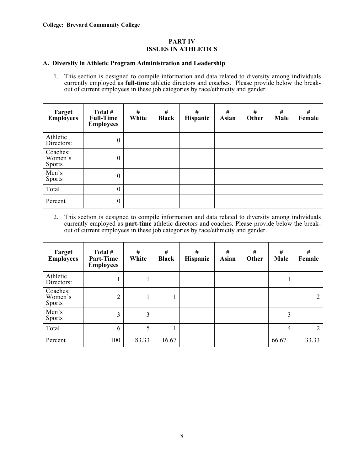# **A. Diversity in Athletic Program Administration and Leadership**

1. This section is designed to compile information and data related to diversity among individuals currently employed as **full-time** athletic directors and coaches. Please provide below the breakout of current employees in these job categories by race/ethnicity and gender.

| Target<br>Employees                  | Total #<br><b>Full-Time</b><br><b>Employees</b> | #<br>White | #<br><b>Black</b> | #<br>Hispanic | #<br><b>Asian</b> | #<br>Other | #<br>Male | #<br>Female |
|--------------------------------------|-------------------------------------------------|------------|-------------------|---------------|-------------------|------------|-----------|-------------|
| Athletic<br>Directors:               | $\boldsymbol{0}$                                |            |                   |               |                   |            |           |             |
| Coaches:<br>Women's<br><b>Sports</b> | $\boldsymbol{0}$                                |            |                   |               |                   |            |           |             |
| Men's<br><b>Sports</b>               | $\boldsymbol{0}$                                |            |                   |               |                   |            |           |             |
| Total                                | $\boldsymbol{0}$                                |            |                   |               |                   |            |           |             |
| Percent                              | $\boldsymbol{0}$                                |            |                   |               |                   |            |           |             |

2. This section is designed to compile information and data related to diversity among individuals currently employed as **part-time** athletic directors and coaches. Please provide below the breakout of current employees in these job categories by race/ethnicity and gender.

| <b>Target</b><br><b>Employees</b>    | Total #<br>Part-Time<br><b>Employees</b> | #<br>White | #<br><b>Black</b> | #<br>Hispanic | $\#$<br><b>Asian</b> | #<br>Other | $\#$<br>Male | $\#$<br>Female |
|--------------------------------------|------------------------------------------|------------|-------------------|---------------|----------------------|------------|--------------|----------------|
| Athletic<br>Directors:               | ı                                        |            |                   |               |                      |            |              |                |
| Coaches:<br>Women's<br><b>Sports</b> | $\overline{2}$                           |            |                   |               |                      |            |              | 2              |
| Men's<br><b>Sports</b>               | 3                                        | 3          |                   |               |                      |            | 3            |                |
| Total                                | 6                                        | 5          |                   |               |                      |            | 4            | 2              |
| Percent                              | 100                                      | 83.33      | 16.67             |               |                      |            | 66.67        | 33.33          |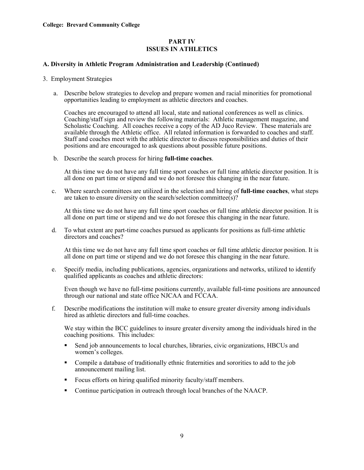# **A. Diversity in Athletic Program Administration and Leadership (Continued)**

- 3. Employment Strategies
	- a. Describe below strategies to develop and prepare women and racial minorities for promotional opportunities leading to employment as athletic directors and coaches.

Coaches are encouraged to attend all local, state and national conferences as well as clinics. Coaching/staff sign and review the following materials: Athletic management magazine, and Scholastic Coaching. All coaches receive a copy of the AD Juco Review. These materials are available through the Athletic office. All related information is forwarded to coaches and staff. Staff and coaches meet with the athletic director to discuss responsibilities and duties of their positions and are encouraged to ask questions about possible future positions.

b. Describe the search process for hiring **full-time coaches**.

At this time we do not have any full time sport coaches or full time athletic director position. It is all done on part time or stipend and we do not foresee this changing in the near future.

c. Where search committees are utilized in the selection and hiring of **full-time coaches**, what steps are taken to ensure diversity on the search/selection committee(s)?

At this time we do not have any full time sport coaches or full time athletic director position. It is all done on part time or stipend and we do not foresee this changing in the near future.

d. To what extent are part-time coaches pursued as applicants for positions as full-time athletic directors and coaches?

At this time we do not have any full time sport coaches or full time athletic director position. It is all done on part time or stipend and we do not foresee this changing in the near future.

e. Specify media, including publications, agencies, organizations and networks, utilized to identify qualified applicants as coaches and athletic directors:

 Even though we have no full-time positions currently, available full-time positions are announced through our national and state office NJCAA and FCCAA.

f. Describe modifications the institution will make to ensure greater diversity among individuals hired as athletic directors and full-time coaches.

We stay within the BCC guidelines to insure greater diversity among the individuals hired in the coaching positions. This includes:

- Send job announcements to local churches, libraries, civic organizations, HBCUs and women's colleges.
- Compile a database of traditionally ethnic fraternities and sororities to add to the job announcement mailing list.
- Focus efforts on hiring qualified minority faculty/staff members.
- Continue participation in outreach through local branches of the NAACP.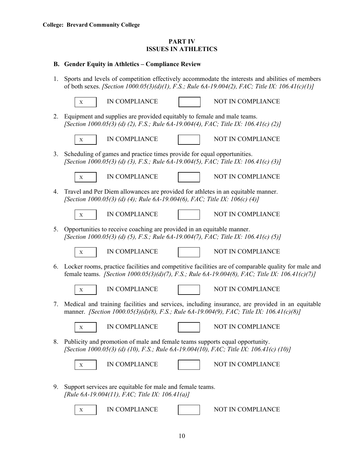# **B. Gender Equity in Athletics – Compliance Review**

1. Sports and levels of competition effectively accommodate the interests and abilities of members of both sexes. *[Section 1000.05(3)(d)(1), F.S.; Rule 6A-19.004(2), FAC; Title IX: 106.41(c)(1)]*

|    | IN COMPLIANCE<br>NOT IN COMPLIANCE<br>$\mathbf X$                                                                                                                                                     |
|----|-------------------------------------------------------------------------------------------------------------------------------------------------------------------------------------------------------|
| 2. | Equipment and supplies are provided equitably to female and male teams.<br>[Section 1000.05(3) (d) (2), F.S.; Rule 6A-19.004(4), FAC; Title IX: 106.41(c) (2)]                                        |
|    | IN COMPLIANCE<br>NOT IN COMPLIANCE<br>X                                                                                                                                                               |
| 3. | Scheduling of games and practice times provide for equal opportunities.<br>[Section 1000.05(3) (d) (3), F.S.; Rule 6A-19.004(5), FAC; Title IX: 106.41(c) (3)]                                        |
|    | IN COMPLIANCE<br>NOT IN COMPLIANCE<br>$\mathbf X$                                                                                                                                                     |
| 4. | Travel and Per Diem allowances are provided for athletes in an equitable manner.<br>[Section 1000.05(3) (d) (4); Rule 6A-19.004(6), FAC; Title IX: 106(c) (4)]                                        |
|    | NOT IN COMPLIANCE<br>IN COMPLIANCE<br>X                                                                                                                                                               |
| 5. | Opportunities to receive coaching are provided in an equitable manner.<br>[Section 1000.05(3) (d) (5), F.S.; Rule 6A-19.004(7), FAC; Title IX: 106.41(c) (5)]                                         |
|    | NOT IN COMPLIANCE<br>IN COMPLIANCE<br>$\mathbf X$                                                                                                                                                     |
| 6. | Locker rooms, practice facilities and competitive facilities are of comparable quality for male and<br>female teams. [Section 1000.05(3)(d)(7), F.S.; Rule 6A-19.004(8), FAC; Title IX: 106.41(c)(7)] |
|    | IN COMPLIANCE<br>NOT IN COMPLIANCE<br>$\mathbf X$                                                                                                                                                     |
| 7. | Medical and training facilities and services, including insurance, are provided in an equitable<br>manner. [Section 1000.05(3)(d)(8), F.S.; Rule 6A-19.004(9), FAC; Title IX: 106.41(c)(8)]           |
|    | IN COMPLIANCE<br>NOT IN COMPLIANCE<br>X                                                                                                                                                               |
| 8. | Publicity and promotion of male and female teams supports equal opportunity.<br>[Section 1000.05(3) (d) (10), F.S.; Rule 6A-19.004(10), FAC; Title IX: 106.41(c) (10)]                                |
|    | IN COMPLIANCE<br>NOT IN COMPLIANCE<br>Х                                                                                                                                                               |
| 9. | Support services are equitable for male and female teams.<br>[Rule 6A-19.004(11), FAC; Title IX: $106.41(a)$ ]                                                                                        |
|    | IN COMPLIANCE<br>NOT IN COMPLIANCE<br>X                                                                                                                                                               |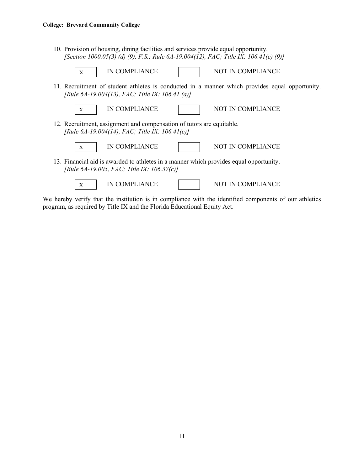10. Provision of housing, dining facilities and services provide equal opportunity. *[Section 1000.05(3) (d) (9), F.S.; Rule 6A-19.004(12), FAC; Title IX: 106.41(c) (9)]* 



We hereby verify that the institution is in compliance with the identified components of our athletics program, as required by Title IX and the Florida Educational Equity Act.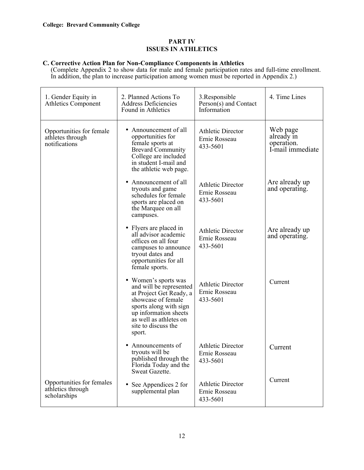# **C. Corrective Action Plan for Non-Compliance Components in Athletics**

(Complete Appendix 2 to show data for male and female participation rates and full-time enrollment. In addition, the plan to increase participation among women must be reported in Appendix 2.)

| 1. Gender Equity in<br><b>Athletics Component</b>              | 2. Planned Actions To<br><b>Address Deficiencies</b><br>Found in Athletics                                                                                                                                     | 3. Responsible<br>Person(s) and Contact<br>Information                                    | 4. Time Lines                                            |
|----------------------------------------------------------------|----------------------------------------------------------------------------------------------------------------------------------------------------------------------------------------------------------------|-------------------------------------------------------------------------------------------|----------------------------------------------------------|
| Opportunities for female<br>athletes through<br>notifications  | Announcement of all<br>opportunities for<br>female sports at<br><b>Brevard Community</b><br>College are included<br>in student I-mail and<br>the athletic web page.                                            | <b>Athletic Director</b><br>Ernie Rosseau<br>433-5601                                     | Web page<br>already in<br>operation.<br>I-mail immediate |
|                                                                | Announcement of all<br>tryouts and game<br>schedules for female<br>sports are placed on<br>the Marquee on all<br>campuses.                                                                                     | Are already up<br><b>Athletic Director</b><br>and operating.<br>Ernie Rosseau<br>433-5601 |                                                          |
|                                                                | • Flyers are placed in<br>all advisor academic<br>offices on all four<br>campuses to announce<br>tryout dates and<br>opportunities for all<br>female sports.                                                   | Are already up<br><b>Athletic Director</b><br>and operating.<br>Ernie Rosseau<br>433-5601 |                                                          |
|                                                                | • Women's sports was<br>and will be represented<br>at Project Get Ready, a<br>showcase of female<br>sports along with sign<br>up information sheets<br>as well as athletes on<br>site to discuss the<br>sport. | <b>Athletic Director</b><br>Ernie Rosseau<br>433-5601                                     | Current                                                  |
|                                                                | Announcements of<br>tryouts will be<br>published through the<br>Florida Today and the<br>Sweat Gazette.                                                                                                        | <b>Athletic Director</b><br>Ernie Rosseau<br>433-5601                                     | Current                                                  |
| Opportunities for females<br>athletics through<br>scholarships | • See Appendices 2 for<br>supplemental plan                                                                                                                                                                    | <b>Athletic Director</b><br>Ernie Rosseau<br>433-5601                                     | Current                                                  |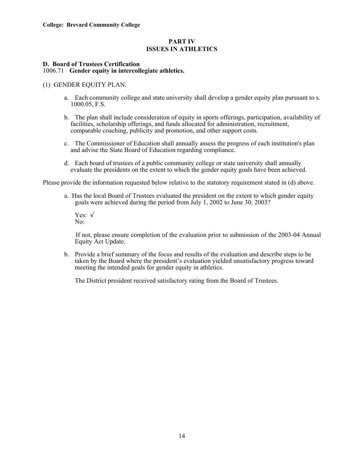# **D. Board of Trustees Certification**  1006.71 **Gender equity in intercollegiate athletics.**

# (1) GENDER EQUITY PLAN.

- a. Each community college and state university shall develop a gender equity plan pursuant to s. 1000.05, F.S.
- b. The plan shall include consideration of equity in sports offerings, participation, availability of facilities, scholarship offerings, and funds allocated for administration, recruitment, comparable coaching, publicity and promotion, and other support costs.
- c. The Commissioner of Education shall annually assess the progress of each institution's plan and advise the State Board of Education regarding compliance.
- d. Each board of trustees of a public community college or state university shall annually evaluate the presidents on the extent to which the gender equity goals have been achieved.

Please provide the information requested below relative to the statutory requirement stated in (d) above.

- a. Has the local Board of Trustees evaluated the president on the extent to which gender equity goals were achieved during the period from July 1, 2002 to June 30, 2003?
	- Yes: √ No:

 If not, please ensure completion of the evaluation prior to submission of the 2003-04 Annual Equity Act Update.

b. Provide a brief summary of the focus and results of the evaluation and describe steps to be taken by the Board where the president's evaluation yielded unsatisfactory progress toward meeting the intended goals for gender equity in athletics.

The District president received satisfactory rating from the Board of Trustees.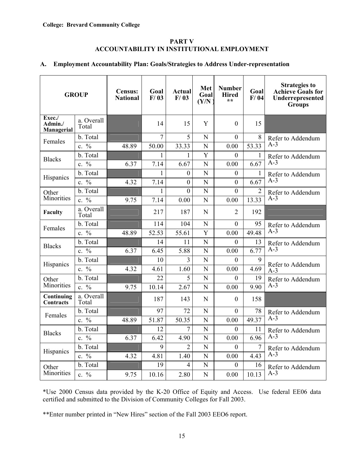# **PART V ACCOUNTABILITY IN INSTITUTIONAL EMPLOYMENT**

# **A. Employment Accountability Plan: Goals/Strategies to Address Under-representation**

| <b>GROUP</b>                    |                                 | <b>Census:</b><br><b>National</b> | Goal<br>F/03 | Actual<br>F/03   | Met<br>Goal<br>(Y/N) | <b>Number</b><br><b>Hired</b><br>$**$ | Goal<br>F/04   | <b>Strategies to</b><br><b>Achieve Goals for</b><br>Underrepresented<br><b>Groups</b> |
|---------------------------------|---------------------------------|-----------------------------------|--------------|------------------|----------------------|---------------------------------------|----------------|---------------------------------------------------------------------------------------|
| Exec./<br>Admin./<br>Managerial | a. Overall<br>Total             |                                   | 14           | 15               | Y                    | $\Omega$                              | 15             |                                                                                       |
| Females                         | b. Total                        |                                   | 7            | 5                | N                    | $\Omega$                              | 8              | Refer to Addendum                                                                     |
|                                 | c. %                            | 48.89                             | 50.00        | 33.33            | N                    | 0.00                                  | 53.33          | $A-3$                                                                                 |
| <b>Blacks</b>                   | b. Total                        |                                   | 1            | $\mathbf{1}$     | $\overline{Y}$       | $\overline{0}$                        | 1              | Refer to Addendum                                                                     |
|                                 | c. $\frac{0}{0}$                | 6.37                              | 7.14         | 6.67             | N                    | 0.00                                  | 6.67           | $A-3$                                                                                 |
| Hispanics                       | b. Total                        |                                   | 1            | $\mathbf{0}$     | N                    | $\mathbf{0}$                          | 1              | Refer to Addendum                                                                     |
|                                 | $\frac{0}{0}$<br>$\mathbf{c}$ . | 4.32                              | 7.14         | $\overline{0}$   | N                    | 0                                     | 6.67           | $A-3$                                                                                 |
| Other                           | b. Total                        |                                   | 1            | $\boldsymbol{0}$ | N                    | $\theta$                              | $\overline{2}$ | Refer to Addendum                                                                     |
| Minorities                      | c. %                            | 9.75                              | 7.14         | 0.00             | N                    | 0.00                                  | 13.33          | $A-3$                                                                                 |
| Faculty                         | a. Overall<br>Total             |                                   | 217          | 187              | N                    | 2                                     | 192            |                                                                                       |
| Females                         | b. Total                        |                                   | 114          | 104              | N                    | $\boldsymbol{0}$                      | 95             | Refer to Addendum                                                                     |
|                                 | c. $\frac{0}{0}$                | 48.89                             | 52.53        | 55.61            | Y                    | 0.00                                  | 49.48          | $A-3$                                                                                 |
| <b>Blacks</b>                   | b. Total                        |                                   | 14           | 11               | N                    | $\theta$                              | 13             | Refer to Addendum                                                                     |
|                                 | c. %                            | 6.37                              | 6.45         | 5.88             | N                    | 0.00                                  | 6.77           | $A-3$                                                                                 |
| Hispanics                       | b. Total                        |                                   | 10           | 3                | N                    | $\Omega$                              | 9              | Refer to Addendum                                                                     |
|                                 | c. %                            | 4.32                              | 4.61         | 1.60             | N                    | 0.00                                  | 4.69           | $A-3$                                                                                 |
| Other                           | b. Total                        |                                   | 22           | 5                | N                    | $\theta$                              | 19             | Refer to Addendum                                                                     |
| Minorities                      | c. %                            | 9.75                              | 10.14        | 2.67             | N                    | 0.00                                  | 9.90           | $A-3$                                                                                 |
| Continuing<br><b>Contracts</b>  | a. Overall<br>Total             |                                   | 187          | 143              | N                    | $\theta$                              | 158            |                                                                                       |
| Females                         | b. Total                        |                                   | 97           | 72               | N                    | $\theta$                              | 78             | Refer to Addendum                                                                     |
|                                 | c. %                            | 48.89                             | 51.87        | 50.35            | N                    | 0.00                                  | 49.37          | $A-3$                                                                                 |
| <b>Blacks</b>                   | b. Total                        |                                   | 12           | 7                | N                    | $\Omega$                              | 11             | Refer to Addendum                                                                     |
|                                 | c. $\frac{0}{0}$                | 6.37                              | 6.42         | 4.90             | N                    | 0.00                                  | 6.96           | $A-3$                                                                                 |
| Hispanics                       | b. Total                        |                                   | 9            | $\overline{2}$   | N                    | $\overline{0}$                        | 7              | Refer to Addendum                                                                     |
|                                 | c. %                            | 4.32                              | 4.81         | 1.40             | N                    | 0.00                                  | 4.43           | $A-3$                                                                                 |
| Other                           | b. Total                        |                                   | 19           | 4                | N                    | $\Omega$                              | 16             | Refer to Addendum                                                                     |
| Minorities                      | c. $\frac{0}{0}$                | 9.75                              | 10.16        | 2.80             | N                    | 0.00                                  | 10.13          | $A-3$                                                                                 |

\*Use 2000 Census data provided by the K-20 Office of Equity and Access. Use federal EE06 data certified and submitted to the Division of Community Colleges for Fall 2003.

\*\*Enter number printed in "New Hires" section of the Fall 2003 EEO6 report.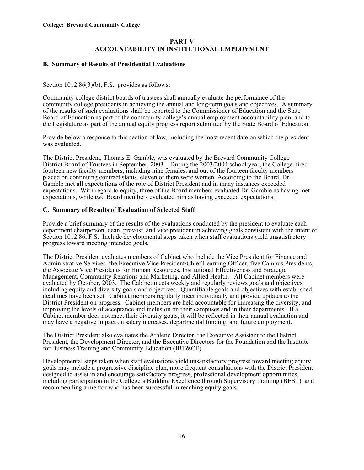# **PART V ACCOUNTABILITY IN INSTITUTIONAL EMPLOYMENT**

# **B. Summary of Results of Presidential Evaluations**

Section 1012.86(3)(b), F.S., provides as follows:

Community college district boards of trustees shall annually evaluate the performance of the community college presidents in achieving the annual and long-term goals and objectives. A summary of the results of such evaluations shall be reported to the Commissioner of Education and the State Board of Education as part of the community college's annual employment accountability plan, and to the Legislature as part of the annual equity progress report submitted by the State Board of Education.

Provide below a response to this section of law, including the most recent date on which the president was evaluated.

The District President, Thomas E. Gamble, was evaluated by the Brevard Community College District Board of Trustees in September, 2003. During the 2003/2004 school year, the College hired fourteen new faculty members, including nine females, and out of the fourteen faculty members placed on continuing contract status, eleven of them were women. According to the Board, Dr. Gamble met all expectations of the role of District President and in many instances exceeded expectations. With regard to equity, three of the Board members evaluated Dr. Gamble as having met expectations, while two Board members evaluated him as having exceeded expectations.

# **C. Summary of Results of Evaluation of Selected Staff**

Provide a brief summary of the results of the evaluations conducted by the president to evaluate each department chairperson, dean, provost, and vice president in achieving goals consistent with the intent of Section 1012.86, F.S. Include developmental steps taken when staff evaluations yield unsatisfactory progress toward meeting intended goals.

The District President evaluates members of Cabinet who include the Vice President for Finance and Administrative Services, the Executive Vice President/Chief Learning Officer, five Campus Presidents, the Associate Vice Presidents for Human Resources, Institutional Effectiveness and Strategic Management, Community Relations and Marketing, and Allied Health. All Cabinet members were evaluated by October, 2003. The Cabinet meets weekly and regularly reviews goals and objectives, including equity and diversity goals and objectives. Quantifiable goals and objectives with established deadlines have been set. Cabinet members regularly meet individually and provide updates to the District President on progress. Cabinet members are held accountable for increasing the diversity, and improving the levels of acceptance and inclusion on their campuses and in their departments. If a Cabinet member does not meet their diversity goals, it will be reflected in their annual evaluation and may have a negative impact on salary increases, departmental funding, and future employment.

The District President also evaluates the Athletic Director, the Executive Assistant to the District President, the Development Director, and the Executive Directors for the Foundation and the Institute for Business Training and Community Education (IBT&CE).

Developmental steps taken when staff evaluations yield unsatisfactory progress toward meeting equity goals may include a progressive discipline plan, more frequent consultations with the District President designed to assist in and encourage satisfactory progress, professional development opportunities, including participation in the College's Building Excellence through Supervisory Training (BEST), and recommending a mentor who has been successful in reaching equity goals.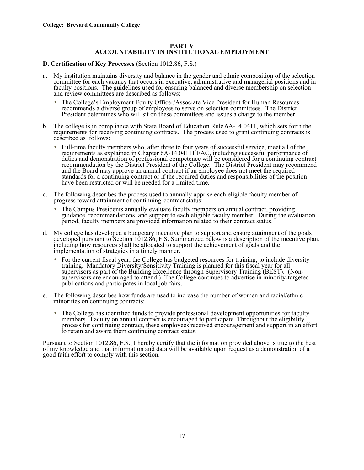# **PART V ACCOUNTABILITY IN INSTITUTIONAL EMPLOYMENT**

# **D. Certification of Key Processes** (Section 1012.86, F.S.)

- a. My institution maintains diversity and balance in the gender and ethnic composition of the selection faculty positions. The guidelines used for ensuring balanced and diverse membership on selection and review committees are described as follows:
	- The College's Employment Equity Officer/Associate Vice President for Human Resources recommends a diverse group of employees to serve on selection committees. The District President determines who will sit on these committees and issues a charge to the member.
- b. The college is in compliance with State Board of Education Rule 6A-14.0411, which sets forth the requirements for receiving continuing contracts. The process used to grant continuing contracts is described as follows:
	- Full-time faculty members who, after three to four years of successful service, meet all of the requirements as explained in Chapter 6A-14.04111 FAC, including successful performance of duties and demonstration of professional competence will be considered for a continuing contract recommendation by the District President of the College. The District President may recommend and the Board may approve an annual contract if an employee does not meet the required standards for a continuing contract or if the required duties and responsibilities of the position have been restricted or will be needed for a limited time.
- c. The following describes the process used to annually apprise each eligible faculty member of progress toward attainment of continuing-contract status:
	- The Campus Presidents annually evaluate faculty members on annual contract, providing guidance, recommendations, and support to each eligible faculty member. During the evaluation period, faculty members are provided information related to their contract status.
- d. My college has developed a budgetary incentive plan to support and ensure attainment of the goals developed pursuant to Section 1012.86, F.S. Summarized below is a description of the incentive plan, including how resources shall be allocated to support the achievement of goals and the implementation of strategies in a timely manner.
	- For the current fiscal year, the College has budgeted resources for training, to include diversity training. Mandatory Diversity/Sensitivity Training is planned for this fiscal year for all supervisors as part of the Building Excellence through Supervisory Training (BEST). (Nonsupervisors are encouraged to attend.) The College continues to advertise in minority-targeted publications and participates in local job fairs.
- e. The following describes how funds are used to increase the number of women and racial/ethnic minorities on continuing contracts:
	- The College has identified funds to provide professional development opportunities for faculty members. Faculty on annual contract is encouraged to participate. Throughout the eligibility process for continuing contract, these employees received encouragement and support in an effort to retain and award them continuing contract status.

Pursuant to Section 1012.86, F.S., I hereby certify that the information provided above is true to the best of my knowledge and that information and data will be available upon request as a demonstration of a good faith effort to comply with this section.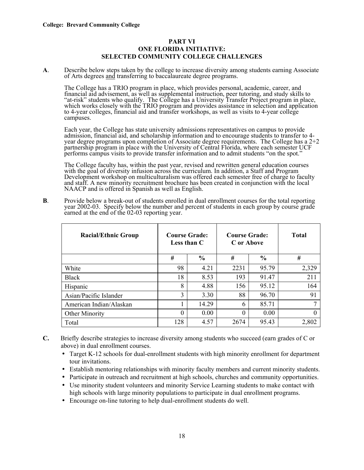# **PART VI ONE FLORIDA INITIATIVE: SELECTED COMMUNITY COLLEGE CHALLENGES**

**A**. Describe below steps taken by the college to increase diversity among students earning Associate of Arts degrees and transferring to baccalaureate degree programs.

The College has a TRIO program in place, which provides personal, academic, career, and financial aid advisement, as well as supplemental instruction, peer tutoring, and study skills to "at-risk" students who qualify. The College has a University Transfer Project program in place, which works closely with the TRIO program and provides assistance in selection and application to 4-year colleges, financial aid and transfer workshops, as well as visits to 4-year college campuses.

Each year, the College has state university admissions representatives on campus to provide admission, financial aid, and scholarship information and to encourage students to transfer to 4 year degree programs upon completion of Associate degree requirements. The College has a 2+2 partnership program in place with the University of Central Florida, where each semester UCF performs campus visits to provide transfer information and to admit students "on the spot."

The College faculty has, within the past year, revised and rewritten general education courses with the goal of diversity infusion across the curriculum. In addition, a Staff and Program Development workshop on multiculturalism was offered each semester free of charge to faculty and staff. A new minority recruitment brochure has been created in conjunction with the local NAACP and is offered in Spanish as well as English.

**B**. Provide below a break-out of students enrolled in dual enrollment courses for the total reporting year 2002-03. Specify below the number and percent of students in each group by course grade earned at the end of the 02-03 reporting year.

| <b>Racial/Ethnic Group</b> | <b>Course Grade:</b><br>Less than C |               | <b>Course Grade:</b><br>C or Above | Total         |       |
|----------------------------|-------------------------------------|---------------|------------------------------------|---------------|-------|
|                            | #                                   | $\frac{0}{0}$ | #                                  | $\frac{0}{0}$ | #     |
| White                      | 98                                  | 4.21          | 2231                               | 95.79         | 2,329 |
| <b>Black</b>               | 18                                  | 8.53          | 193                                | 91.47         | 211   |
| Hispanic                   | 8                                   | 4.88          | 156                                | 95.12         | 164   |
| Asian/Pacific Islander     | 3                                   | 3.30          | 88                                 | 96.70         | 91    |
| American Indian/Alaskan    |                                     | 14.29         | 6                                  | 85.71         |       |
| <b>Other Minority</b>      | $\theta$                            | 0.00          | $\theta$                           | 0.00          |       |
| Total                      | 128                                 | 4.57          | 2674                               | 95.43         | 2,802 |

- **C.** Briefly describe strategies to increase diversity among students who succeed (earn grades of C or above) in dual enrollment courses.
	- Target K-12 schools for dual-enrollment students with high minority enrollment for department tour invitations.
	- Establish mentoring relationships with minority faculty members and current minority students.
	- Participate in outreach and recruitment at high schools, churches and community opportunities.
	- Use minority student volunteers and minority Service Learning students to make contact with high schools with large minority populations to participate in dual enrollment programs.
	- Encourage on-line tutoring to help dual-enrollment students do well.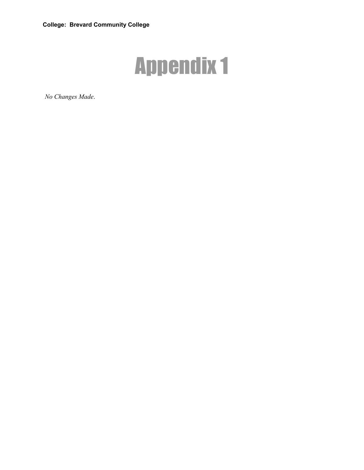

*No Changes Made*.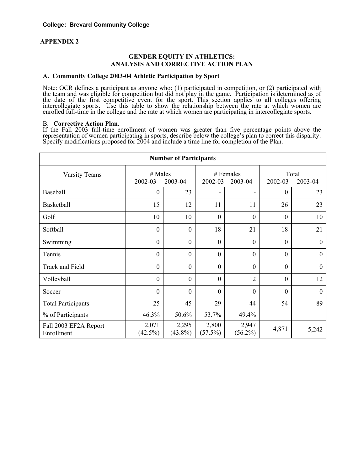# **APPENDIX 2**

# **GENDER EQUITY IN ATHLETICS: ANALYSIS AND CORRECTIVE ACTION PLAN**

#### **A. Community College 2003-04 Athletic Participation by Sport**

Note: OCR defines a participant as anyone who: (1) participated in competition, or (2) participated with the team and was eligible for competition but did not play in the game. Participation is determined as of the date of the first competitive event for the sport. This section applies to all colleges offering intercollegiate sports. Use this table to show the relationship between the rate at which women are enrolled full-time in the college and the rate at which women are participating in intercollegiate sports.

### B. **Corrective Action Plan.**

If the Fall 2003 full-time enrollment of women was greater than five percentage points above the representation of women participating in sports, describe below the college's plan to correct this disparity. Specify modifications proposed for 2004 and include a time line for completion of the Plan.

| <b>Number of Participants</b>       |                     |                     |                    |                     |                  |                |  |  |  |  |
|-------------------------------------|---------------------|---------------------|--------------------|---------------------|------------------|----------------|--|--|--|--|
| <b>Varsity Teams</b>                | # Males             |                     | # Females          |                     | Total            |                |  |  |  |  |
|                                     | 2002-03<br>2003-04  |                     | 2002-03<br>2003-04 |                     | 2002-03          | 2003-04        |  |  |  |  |
| Baseball                            | $\boldsymbol{0}$    | 23                  | -                  | -                   | $\boldsymbol{0}$ | 23             |  |  |  |  |
| Basketball                          | 15                  | 12                  | 11                 | 11                  | 26               | 23             |  |  |  |  |
| Golf                                | 10                  | 10                  | $\mathbf{0}$       | $\mathbf{0}$        | 10               | 10             |  |  |  |  |
| Softball                            | $\mathbf{0}$        | $\overline{0}$      | 18                 | 21                  | 18               | 21             |  |  |  |  |
| Swimming                            | $\mathbf{0}$        | $\mathbf{0}$        | $\mathbf{0}$       | $\mathbf{0}$        | $\boldsymbol{0}$ | $\mathbf{0}$   |  |  |  |  |
| Tennis                              | $\mathbf{0}$        | $\overline{0}$      | $\Omega$           | $\mathbf{0}$        | $\boldsymbol{0}$ | $\overline{0}$ |  |  |  |  |
| Track and Field                     | $\mathbf{0}$        | $\mathbf{0}$        | $\mathbf{0}$       | $\mathbf{0}$        | $\boldsymbol{0}$ | $\mathbf{0}$   |  |  |  |  |
| Volleyball                          | $\mathbf{0}$        | $\overline{0}$      | $\Omega$           | 12                  | $\boldsymbol{0}$ | 12             |  |  |  |  |
| Soccer                              | $\mathbf{0}$        | $\mathbf{0}$        | $\mathbf{0}$       | $\mathbf{0}$        | $\mathbf{0}$     | $\mathbf{0}$   |  |  |  |  |
| <b>Total Participants</b>           | 25                  | 45                  | 29                 | 44                  | 54               | 89             |  |  |  |  |
| % of Participants                   | 46.3%               | 50.6%               | 53.7%              | 49.4%               |                  |                |  |  |  |  |
| Fall 2003 EF2A Report<br>Enrollment | 2,071<br>$(42.5\%)$ | 2,295<br>$(43.8\%)$ | 2,800<br>(57.5%)   | 2,947<br>$(56.2\%)$ | 4,871            | 5,242          |  |  |  |  |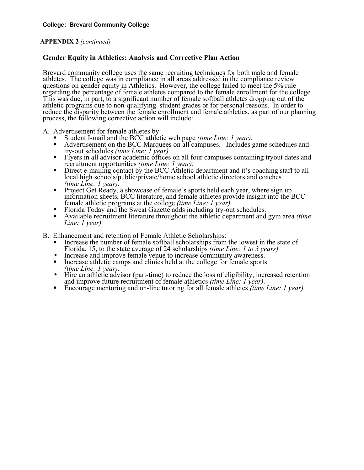# **APPENDIX 2** *(continued)*

# **Gender Equity in Athletics: Analysis and Corrective Plan Action**

Brevard community college uses the same recruiting techniques for both male and female athletes. The college was in compliance in all areas addressed in the compliance review questions on gender equity in Athletics. However, the college failed to meet the 5% rule regarding the percentage of female athletes compared to the female enrollment for the college. This was due, in part, to a significant number of female softball athletes dropping out of the athletic programs due to non-qualifying student grades or for personal reasons. In order to reduce the disparity between the female enrollment and female athletics, as part of our planning process, the following corrective action will include:

- -
- A. Advertisement for female athletes by:<br>
Student I-mail and the BCC athletic web page *(time Line: 1 year)*.<br>
Advertisement on the BCC Marquees on all campuses. Includes game schedules and<br>
try-out schedules *(time Line:* 
	- Flyers in all advisor academic offices on all four campuses containing tryout dates and recruitment opportunities *(time Line: 1 year)*.
	- Direct e-mailing contact by the BCC Athletic department and it's coaching staff to all local high schools/public/private/home school athletic directors and coaches
	- *(time Line: 1 year).* **■**<br>Project Get Ready, a showcase of female's sports held each year, where sign up information sheets, BCC literature, and female athletes provide insight into the BCC Final experiment at the college (time Line: 1 year).<br>
	Florida Today and the Sweat Gazette adds including try-out schedules.<br>
	Available recruitment literature throughout the athletic department and gym area *(time*).
	-
	- *Line: 1 year).*
- 
- B. Enhancement and retention of Female Athletic Scholarships:<br>
Increase the number of female softball scholarships from the lowest in the state of<br>
Florida, 15, to the state average of 24 scholarships *(time Line: 1 to 3* 
	-
	- Increase and improve female venue to increase community awareness.<br>Increase athletic camps and clinics held at the college for female sports *(time Line: 1 year)*.
	- Hire an athletic advisor (part-time) to reduce the loss of eligibility, increased retention and improve future recruitment of female athletics *(time Line: 1 year)*.
	- Encourage mentoring and on-line tutoring for all female athletes *(time Line: 1 year)*.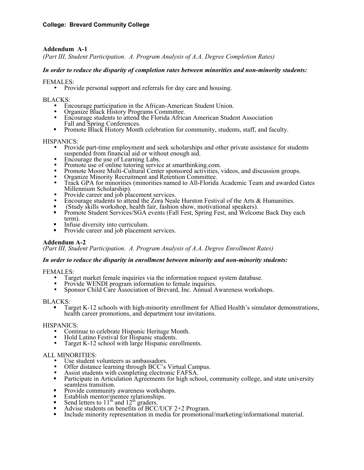# **Addendum A-1**

*(Part III, Student Participation. A. Program Analysis of A.A. Degree Completion Rates)* 

# *In order to reduce the disparity of completion rates between minorities and non-minority students:*

FEMALES:<br>• Provide personal support and referrals for day care and housing.

- 
- 
- BLACKS: Encourage participation in the African-American Student Union. Organize Black History Programs Committee. Encourage students to attend the Florida African American Student Association
	- **F** Promote Black History Month celebration for community, students, staff, and faculty.

- HISPANICS:<br>• Provide part-time employment and seek scholarships and other private assistance for students<br>suspended from financial aid or without enough aid.
	-
	-
	-
	-
	- Encourage the use of Learning Labs.<br>
	 Promote use of online tutoring service at smarthinking.com.<br>
	 Promote Moore Multi-Cultural Center sponsored activities, videos, and discussion groups.<br>
	 Organize Minority Recruitm
	-
	-
	-
	- Provide career and job placement services.<br>
	 Encourage students to attend the Zora Neale Hurston Festival of the Arts & Humanities.<br>
	 (Study skills workshop, health fair, fashion show, motivational speakers).<br>
	 Promot
	-
	- Infuse diversity into curriculum.<br>Provide career and job placement services.

# **Addendum A-2**

*(Part III, Student Participation. A. Program Analysis of A.A. Degree Enrollment Rates)* 

#### *In order to reduce the disparity in enrollment between minority and non-minority students:*

- 
- 
- FEMALES: Target market female inquiries via the information request system database. Provide WENDI program information to female inquiries. Sponsor Child Care Association of Brevard, Inc. Annual Awareness workshops.

BLACKS:<br>
Target K-12 schools with high-minority enrollment for Allied Health's simulator demonstrations, health career promotions, and department tour invitations.

- 
- 
- HISPANICS:<br>
 Continue to celebrate Hispanic Heritage Month.<br>
 Hold Latino Festival for Hispanic students.<br>
 Target K-12 school with large Hispanic enrollments.

- 
- 
- 
- ALL MINORITIES:<br>
 Use student volunteers as ambassadors.<br>
 Offer distance learning through BCC's Virtual Campus.<br>
 Assist students with completing electronic FAFSA.<br>
 Participate in Articulation Agreements for high sc
	-
	-
	-
	-
	-